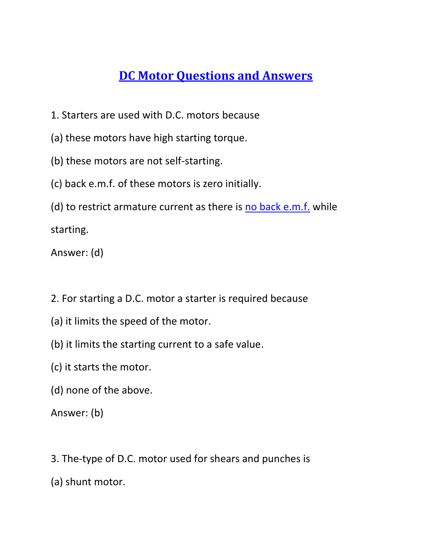## **[DC Motor Questions and Answers](https://www.yourelectricalguide.com/2020/06/dc-motor-questions-and-answers-pdf.html)**

- 1. Starters are used with D.C. motors because
- (a) these motors have high starting torque.
- (b) these motors are not self-starting.
- (c) back e.m.f. of these motors is zero initially.
- (d) to restrict armature current as there is [no back e.m.f.](https://www.yourelectricalguide.com/2017/09/working-principle-of-dc-shunt-motor.html) while

starting.

Answer: (d)

- 2. For starting a D.C. motor a starter is required because
- (a) it limits the speed of the motor.
- (b) it limits the starting current to a safe value.
- (c) it starts the motor.
- (d) none of the above.

- 3. The-type of D.C. motor used for shears and punches is
- (a) shunt motor.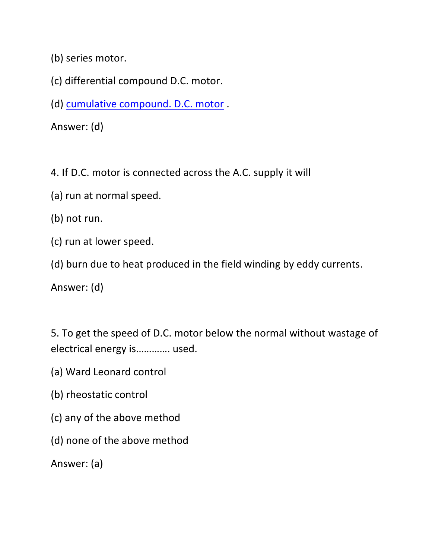(b) series motor.

- (c) differential compound D.C. motor.
- (d) [cumulative compound. D.C. motor](https://www.yourelectricalguide.com/2017/09/dc-motor-characteristics-and-applications.html) .

Answer: (d)

4. If D.C. motor is connected across the A.C. supply it will

- (a) run at normal speed.
- (b) not run.
- (c) run at lower speed.
- (d) burn due to heat produced in the field winding by eddy currents.

Answer: (d)

5. To get the speed of D.C. motor below the normal without wastage of electrical energy is…………. used.

- (a) Ward Leonard control
- (b) rheostatic control
- (c) any of the above method
- (d) none of the above method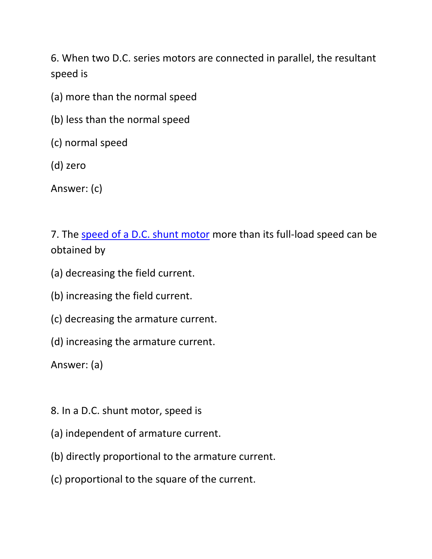6. When two D.C. series motors are connected in parallel, the resultant speed is

- (a) more than the normal speed
- (b) less than the normal speed
- (c) normal speed
- (d) zero

Answer: (c)

7. The [speed of a D.C. shunt motor](https://www.yourelectricalguide.com/2017/09/speed-control-of-dc-shunt-motor.html) more than its full-load speed can be obtained by

- (a) decreasing the field current.
- (b) increasing the field current.
- (c) decreasing the armature current.
- (d) increasing the armature current.

- 8. In a D.C. shunt motor, speed is
- (a) independent of armature current.
- (b) directly proportional to the armature current.
- (c) proportional to the square of the current.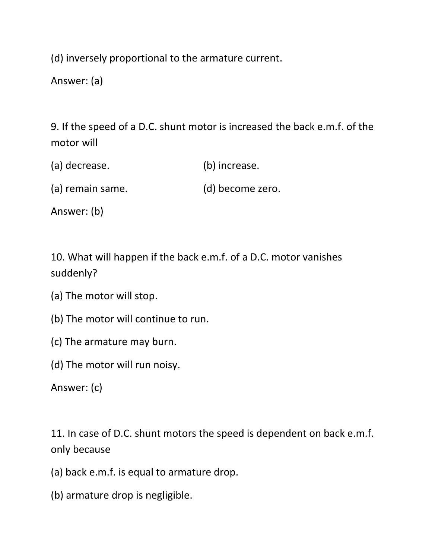(d) inversely proportional to the armature current.

Answer: (a)

9. If the speed of a D.C. shunt motor is increased the back e.m.f. of the motor will

| (a) decrease. | (b) increase. |
|---------------|---------------|
|               |               |

(a) remain same. (d) become zero.

Answer: (b)

10. What will happen if the back e.m.f. of a D.C. motor vanishes suddenly?

- (a) The motor will stop.
- (b) The motor will continue to run.
- (c) The armature may burn.
- (d) The motor will run noisy.

Answer: (c)

11. In case of D.C. shunt motors the speed is dependent on back e.m.f. only because

- (a) back e.m.f. is equal to armature drop.
- (b) armature drop is negligible.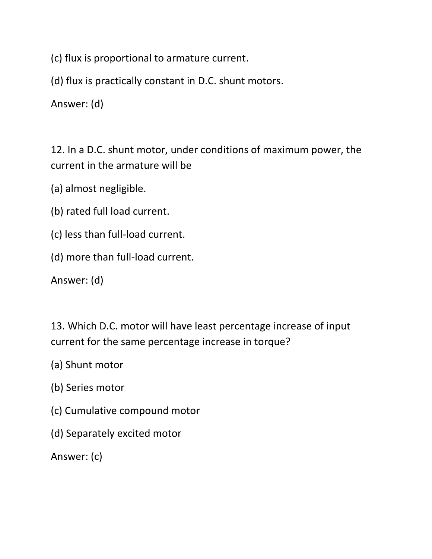(c) flux is proportional to armature current.

(d) flux is practically constant in D.C. shunt motors.

Answer: (d)

12. In a D.C. shunt motor, under conditions of maximum power, the current in the armature will be

(a) almost negligible.

- (b) rated full load current.
- (c) less than full-load current.
- (d) more than full-load current.

Answer: (d)

13. Which D.C. motor will have least percentage increase of input current for the same percentage increase in torque?

- (a) Shunt motor
- (b) Series motor
- (c) Cumulative compound motor
- (d) Separately excited motor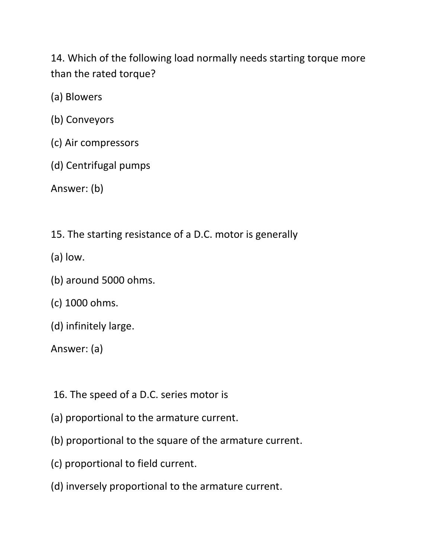14. Which of the following load normally needs starting torque more than the rated torque?

(a) Blowers

- (b) Conveyors
- (c) Air compressors
- (d) Centrifugal pumps

Answer: (b)

15. The starting resistance of a D.C. motor is generally

- (a) low.
- (b) around 5000 ohms.
- (c) 1000 ohms.
- (d) infinitely large.

- 16. The speed of a D.C. series motor is
- (a) proportional to the armature current.
- (b) proportional to the square of the armature current.
- (c) proportional to field current.
- (d) inversely proportional to the armature current.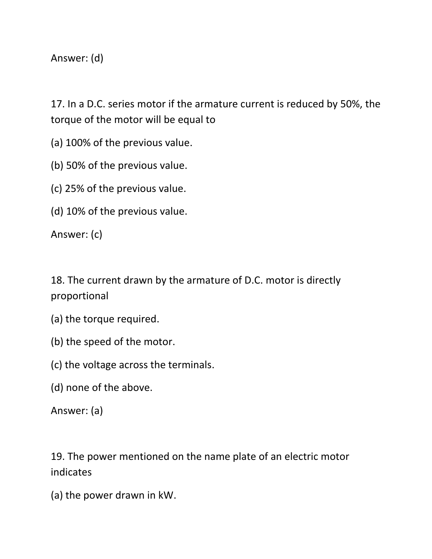Answer: (d)

17. In a D.C. series motor if the armature current is reduced by 50%, the torque of the motor will be equal to

(a) 100% of the previous value.

(b) 50% of the previous value.

(c) 25% of the previous value.

(d) 10% of the previous value.

Answer: (c)

18. The current drawn by the armature of D.C. motor is directly proportional

- (a) the torque required.
- (b) the speed of the motor.

(c) the voltage across the terminals.

(d) none of the above.

Answer: (a)

19. The power mentioned on the name plate of an electric motor indicates

(a) the power drawn in kW.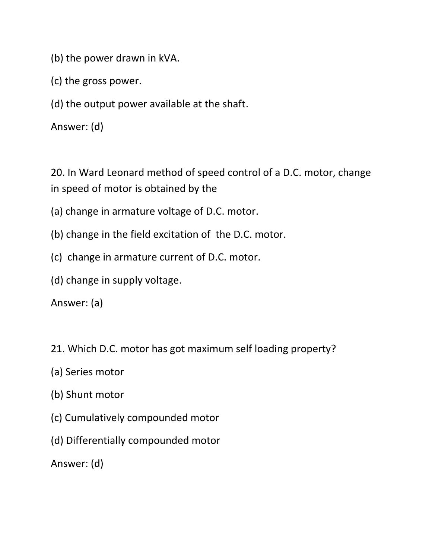- (b) the power drawn in kVA.
- (c) the gross power.
- (d) the output power available at the shaft.

Answer: (d)

20. In Ward Leonard method of speed control of a D.C. motor, change in speed of motor is obtained by the

- (a) change in armature voltage of D.C. motor.
- (b) change in the field excitation of the D.C. motor.
- (c) change in armature current of D.C. motor.
- (d) change in supply voltage.

Answer: (a)

- 21. Which D.C. motor has got maximum self loading property?
- (a) Series motor
- (b) Shunt motor
- (c) Cumulatively compounded motor
- (d) Differentially compounded motor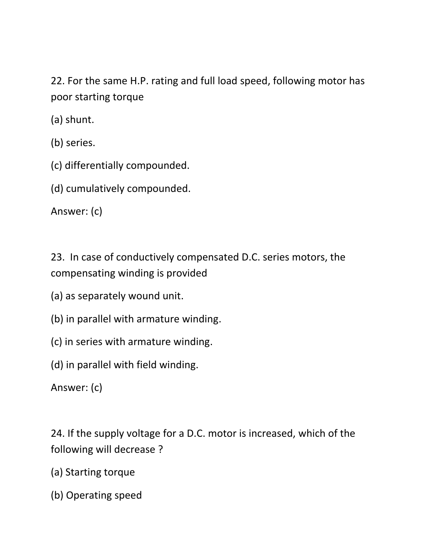22. For the same H.P. rating and full load speed, following motor has poor starting torque

(a) shunt.

(b) series.

(c) differentially compounded.

(d) cumulatively compounded.

Answer: (c)

23. In case of conductively compensated D.C. series motors, the compensating winding is provided

- (a) as separately wound unit.
- (b) in parallel with armature winding.
- (c) in series with armature winding.
- (d) in parallel with field winding.

Answer: (c)

24. If the supply voltage for a D.C. motor is increased, which of the following will decrease ?

- (a) Starting torque
- (b) Operating speed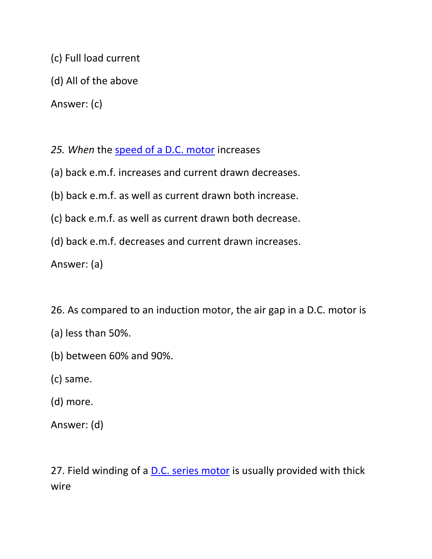- (c) Full load current
- (d) All of the above

Answer: (c)

- 25. When the **speed of a D.C. motor** increases
- (a) back e.m.f. increases and current drawn decreases.
- (b) back e.m.f. as well as current drawn both increase.
- (c) back e.m.f. as well as current drawn both decrease.
- (d) back e.m.f. decreases and current drawn increases.

Answer: (a)

- 26. As compared to an induction motor, the air gap in a D.C. motor is
- (a) less than 50%.
- (b) between 60% and 90%.
- (c) same.
- (d) more.
- Answer: (d)

27. Field winding of a [D.C. series motor](https://www.yourelectricalguide.com/2017/09/types-of-dc-motors.html) is usually provided with thick wire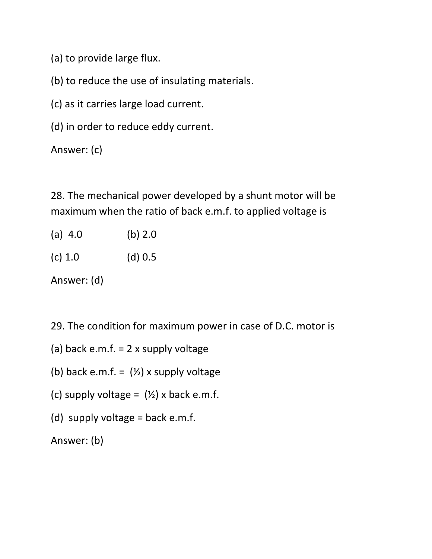(a) to provide large flux.

(b) to reduce the use of insulating materials.

(c) as it carries large load current.

(d) in order to reduce eddy current.

Answer: (c)

28. The mechanical power developed by a shunt motor will be maximum when the ratio of back e.m.f. to applied voltage is

- (a) 4.0 (b) 2.0
- (c) 1.0 (d) 0.5

Answer: (d)

29. The condition for maximum power in case of D.C. motor is

- (a) back e.m.f.  $= 2x$  supply voltage
- (b) back e.m.f. =  $(\frac{1}{2})$  x supply voltage
- (c) supply voltage =  $(\frac{1}{2})$  x back e.m.f.
- (d) supply voltage = back e.m.f.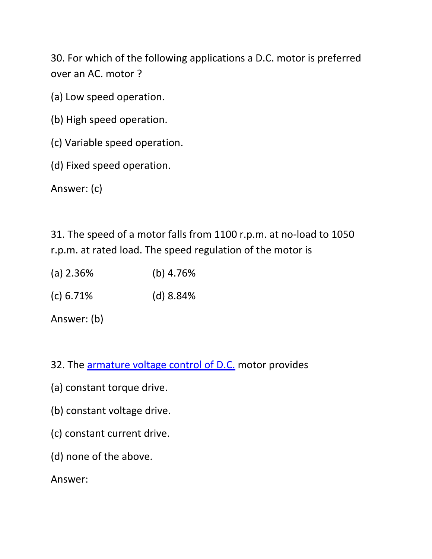30. For which of the following applications a D.C. motor is preferred over an AC. motor ?

- (a) Low speed operation.
- (b) High speed operation.
- (c) Variable speed operation.
- (d) Fixed speed operation.

Answer: (c)

31. The speed of a motor falls from 1100 r.p.m. at no-load to 1050 r.p.m. at rated load. The speed regulation of the motor is

- (a) 2.36% (b) 4.76%
- (c) 6.71% (d) 8.84%

Answer: (b)

- 32. The [armature voltage control of D.C.](https://www.yourelectricalguide.com/2017/09/series-motor-speed-control.html) motor provides
- (a) constant torque drive.
- (b) constant voltage drive.
- (c) constant current drive.
- (d) none of the above.

Answer: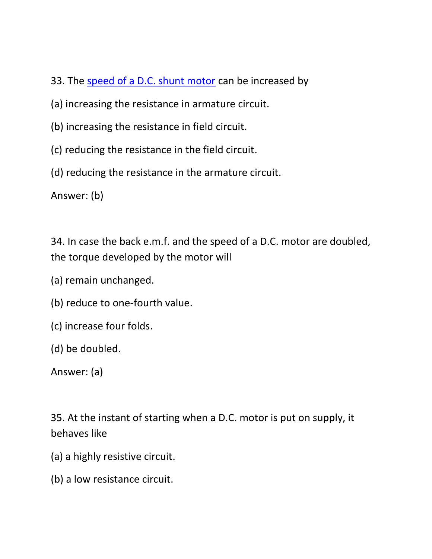- 33. The [speed of a D.C. shunt motor](https://www.yourelectricalguide.com/2017/09/speed-control-of-dc-shunt-motor.html) can be increased by
- (a) increasing the resistance in armature circuit.
- (b) increasing the resistance in field circuit.
- (c) reducing the resistance in the field circuit.
- (d) reducing the resistance in the armature circuit.

Answer: (b)

34. In case the back e.m.f. and the speed of a D.C. motor are doubled, the torque developed by the motor will

- (a) remain unchanged.
- (b) reduce to one-fourth value.
- (c) increase four folds.
- (d) be doubled.

Answer: (a)

35. At the instant of starting when a D.C. motor is put on supply, it behaves like

- (a) a highly resistive circuit.
- (b) a low resistance circuit.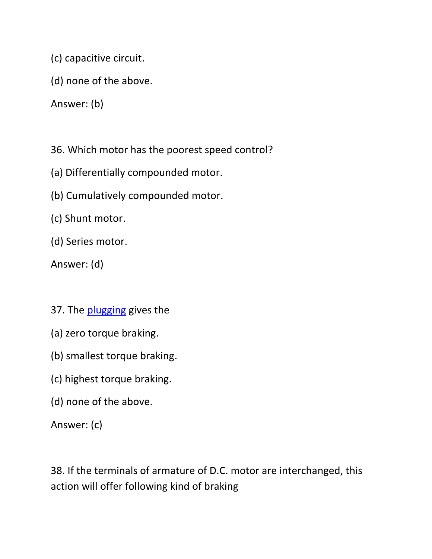(c) capacitive circuit.

(d) none of the above.

Answer: (b)

36. Which motor has the poorest speed control?

- (a) Differentially compounded motor.
- (b) Cumulatively compounded motor.
- (c) Shunt motor.

(d) Series motor.

Answer: (d)

- 37. The [plugging](https://www.yourelectricalguide.com/2019/05/electric-braking-dc-motors-plugging-rheostatic-regenerative.html) gives the
- (a) zero torque braking.
- (b) smallest torque braking.
- (c) highest torque braking.
- (d) none of the above.

Answer: (c)

38. If the terminals of armature of D.C. motor are interchanged, this action will offer following kind of braking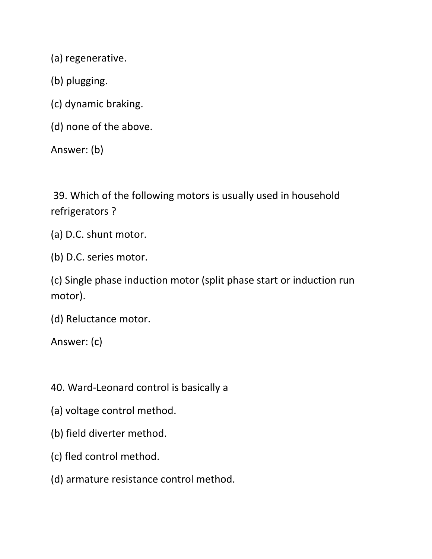(a) regenerative.

- (b) plugging.
- (c) dynamic braking.
- (d) none of the above.

Answer: (b)

39. Which of the following motors is usually used in household refrigerators ?

- (a) D.C. shunt motor.
- (b) D.C. series motor.

(c) Single phase induction motor (split phase start or induction run motor).

(d) Reluctance motor.

- 40. Ward-Leonard control is basically a
- (a) voltage control method.
- (b) field diverter method.
- (c) fled control method.
- (d) armature resistance control method.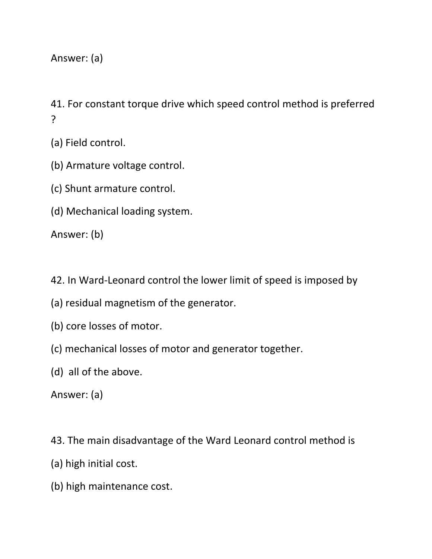Answer: (a)

41. For constant torque drive which speed control method is preferred ?

(a) Field control.

- (b) Armature voltage control.
- (c) Shunt armature control.
- (d) Mechanical loading system.

Answer: (b)

- 42. In Ward-Leonard control the lower limit of speed is imposed by
- (a) residual magnetism of the generator.
- (b) core losses of motor.
- (c) mechanical losses of motor and generator together.
- (d) all of the above.

- 43. The main disadvantage of the Ward Leonard control method is
- (a) high initial cost.
- (b) high maintenance cost.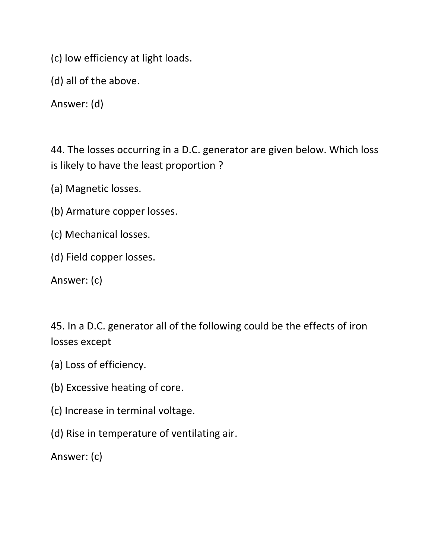(c) low efficiency at light loads.

(d) all of the above.

Answer: (d)

44. The losses occurring in a D.C. generator are given below. Which loss is likely to have the least proportion ?

(a) Magnetic losses.

- (b) Armature copper losses.
- (c) Mechanical losses.
- (d) Field copper losses.

Answer: (c)

45. In a D.C. generator all of the following could be the effects of iron losses except

- (a) Loss of efficiency.
- (b) Excessive heating of core.
- (c) Increase in terminal voltage.
- (d) Rise in temperature of ventilating air.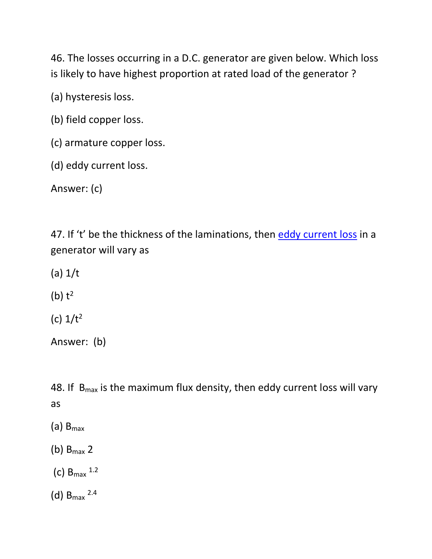46. The losses occurring in a D.C. generator are given below. Which loss is likely to have highest proportion at rated load of the generator ?

(a) hysteresis loss.

(b) field copper loss.

(c) armature copper loss.

(d) eddy current loss.

Answer: (c)

47. If 't' be the thickness of the laminations, then [eddy current loss](https://www.yourelectricalguide.com/2017/05/eddy-current-loss.html) in a generator will vary as

(a) 1/t

(b)  $t^2$ 

(c)  $1/t^2$ 

Answer: (b)

48. If  $B_{\text{max}}$  is the maximum flux density, then eddy current loss will vary as

- $(a)$  B<sub>max</sub>
- (b)  $B_{max}$  2
- $(c)$  B<sub>max</sub>  $1.2$
- $(d)$  B<sub>max</sub> 2.4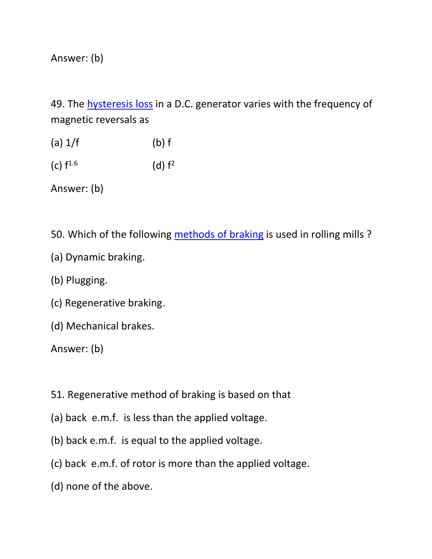Answer: (b)

49. The [hysteresis loss](https://www.yourelectricalguide.com/2017/05/hysteresis-loop-hysteresis-loss.html) in a D.C. generator varies with the frequency of magnetic reversals as

- (a)  $1/f$  (b) f
- (c)  $f^{1.6}$ 1.6 (d)  $f^2$

Answer: (b)

50. Which of the following [methods](https://www.yourelectricalguide.com/2019/05/electric-braking-dc-motors-plugging-rheostatic-regenerative.html) of braking is used in rolling mills ?

- (a) Dynamic braking.
- (b) Plugging.
- (c) Regenerative braking.
- (d) Mechanical brakes.

- 51. Regenerative method of braking is based on that
- (a) back e.m.f. is less than the applied voltage.
- (b) back e.m.f. is equal to the applied voltage.
- (c) back e.m.f. of rotor is more than the applied voltage.
- (d) none of the above.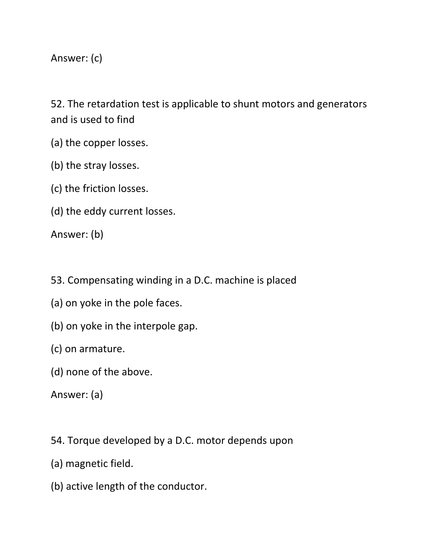Answer: (c)

52. The retardation test is applicable to shunt motors and generators and is used to find

- (a) the copper losses.
- (b) the stray losses.
- (c) the friction losses.
- (d) the eddy current losses.

Answer: (b)

- 53. Compensating winding in a D.C. machine is placed
- (a) on yoke in the pole faces.
- (b) on yoke in the interpole gap.
- (c) on armature.
- (d) none of the above.

- 54. Torque developed by a D.C. motor depends upon
- (a) magnetic field.
- (b) active length of the conductor.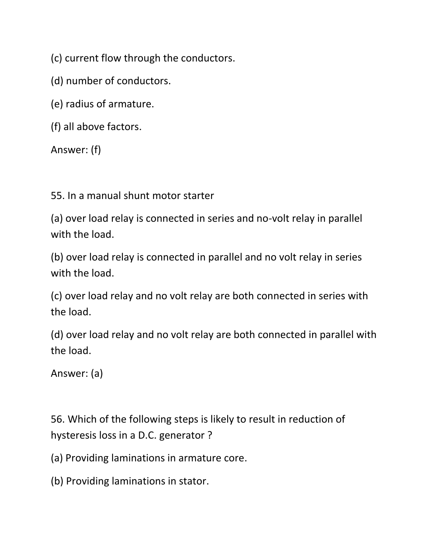(c) current flow through the conductors.

(d) number of conductors.

(e) radius of armature.

(f) all above factors.

Answer: (f)

55. In a manual shunt motor starter

(a) over load relay is connected in series and no-volt relay in parallel with the load.

(b) over load relay is connected in parallel and no volt relay in series with the load.

(c) over load relay and no volt relay are both connected in series with the load.

(d) over load relay and no volt relay are both connected in parallel with the load.

Answer: (a)

56. Which of the following steps is likely to result in reduction of hysteresis loss in a D.C. generator ?

(a) Providing laminations in armature core.

(b) Providing laminations in stator.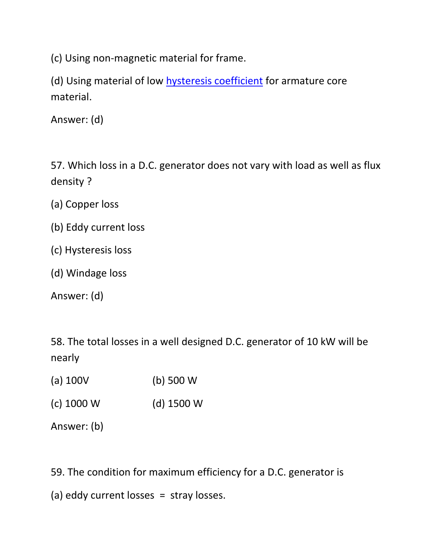(c) Using non-magnetic material for frame.

(d) Using material of low [hysteresis coefficient](https://www.yourelectricalguide.com/2017/05/hysteresis-loop-hysteresis-loss.html) for armature core material.

Answer: (d)

57. Which loss in a D.C. generator does not vary with load as well as flux density ?

- (a) Copper loss
- (b) Eddy current loss
- (c) Hysteresis loss
- (d) Windage loss

Answer: (d)

58. The total losses in a well designed D.C. generator of 10 kW will be nearly

- (a) 100V (b) 500 W
- (c) 1000 W (d) 1500 W

Answer: (b)

59. The condition for maximum efficiency for a D.C. generator is

(a) eddy current losses = stray losses.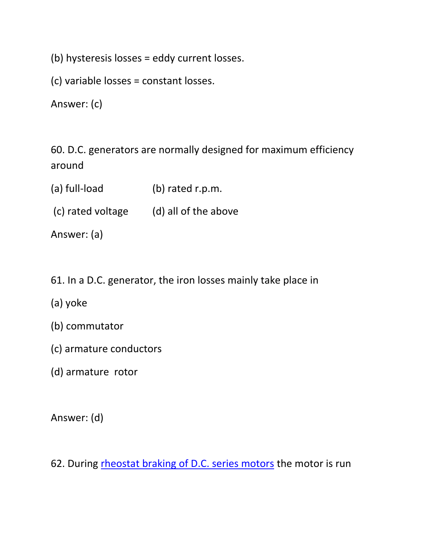(b) hysteresis losses = eddy current losses.

(c) variable losses = constant losses.

Answer: (c)

60. D.C. generators are normally designed for maximum efficiency around

- (a) full-load (b) rated r.p.m.
- (c) rated voltage (d) all of the above

Answer: (a)

- 61. In a D.C. generator, the iron losses mainly take place in
- (a) yoke
- (b) commutator
- (c) armature conductors
- (d) armature rotor

Answer: (d)

62. During [rheostat braking of D.C. series motors](https://www.yourelectricalguide.com/2019/05/electric-braking-dc-motors-plugging-rheostatic-regenerative.html) the motor is run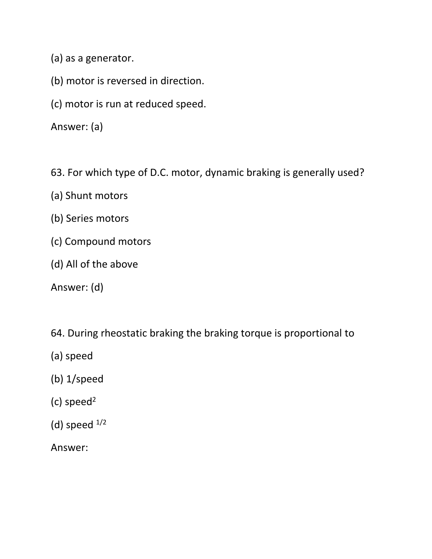(a) as a generator.

- (b) motor is reversed in direction.
- (c) motor is run at reduced speed.

Answer: (a)

63. For which type of D.C. motor, dynamic braking is generally used?

- (a) Shunt motors
- (b) Series motors
- (c) Compound motors
- (d) All of the above
- Answer: (d)

64. During rheostatic braking the braking torque is proportional to

- (a) speed
- (b) 1/speed
- (c) speed<sup>2</sup>
- (d) speed  $1/2$

Answer: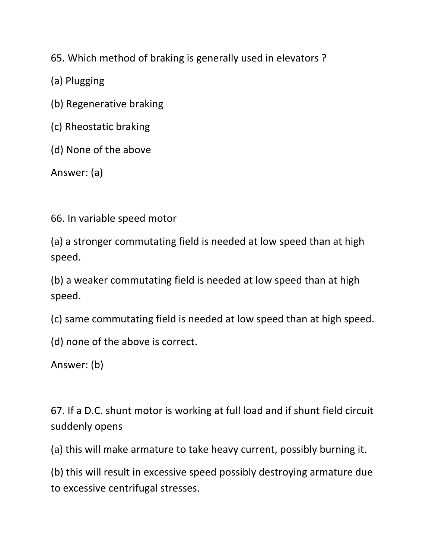65. Which method of braking is generally used in elevators ?

(a) Plugging

(b) Regenerative braking

(c) Rheostatic braking

(d) None of the above

Answer: (a)

66. In variable speed motor

(a) a stronger commutating field is needed at low speed than at high speed.

(b) a weaker commutating field is needed at low speed than at high speed.

(c) same commutating field is needed at low speed than at high speed.

(d) none of the above is correct.

Answer: (b)

67. If a D.C. shunt motor is working at full load and if shunt field circuit suddenly opens

(a) this will make armature to take heavy current, possibly burning it.

(b) this will result in excessive speed possibly destroying armature due to excessive centrifugal stresses.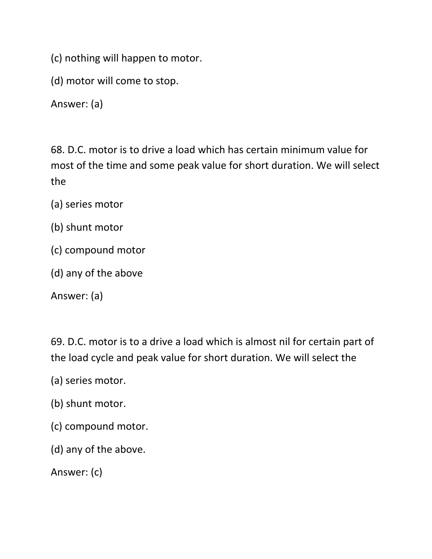(c) nothing will happen to motor.

(d) motor will come to stop.

Answer: (a)

68. D.C. motor is to drive a load which has certain minimum value for most of the time and some peak value for short duration. We will select the

- (a) series motor
- (b) shunt motor
- (c) compound motor
- (d) any of the above

Answer: (a)

69. D.C. motor is to a drive a load which is almost nil for certain part of the load cycle and peak value for short duration. We will select the

- (a) series motor.
- (b) shunt motor.
- (c) compound motor.
- (d) any of the above.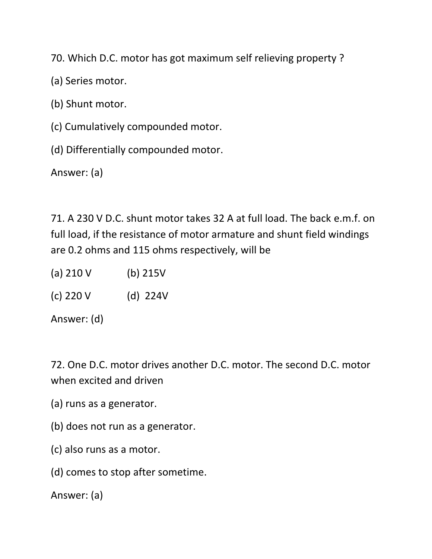70. Which D.C. motor has got maximum self relieving property ?

(a) Series motor.

(b) Shunt motor.

(c) Cumulatively compounded motor.

(d) Differentially compounded motor.

Answer: (a)

71. A 230 V D.C. shunt motor takes 32 A at full load. The back e.m.f. on full load, if the resistance of motor armature and shunt field windings are 0.2 ohms and 115 ohms respectively, will be

(a) 210 V (b) 215V

(c) 220 V (d) 224V

Answer: (d)

72. One D.C. motor drives another D.C. motor. The second D.C. motor when excited and driven

- (a) runs as a generator.
- (b) does not run as a generator.
- (c) also runs as a motor.
- (d) comes to stop after sometime.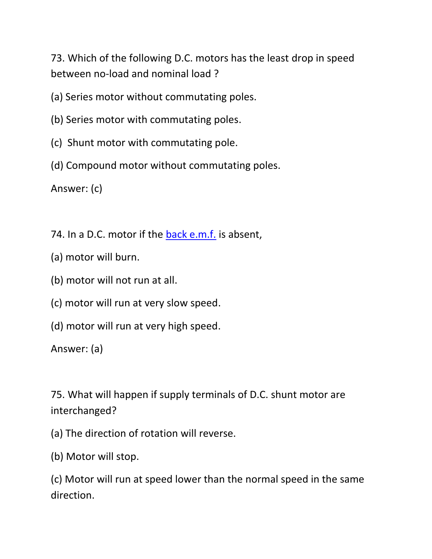73. Which of the following D.C. motors has the least drop in speed between no-load and nominal load ?

(a) Series motor without commutating poles.

- (b) Series motor with commutating poles.
- (c) Shunt motor with commutating pole.
- (d) Compound motor without commutating poles.

Answer: (c)

74. In a D.C. motor if the [back e.m.f.](https://www.yourelectricalguide.com/2017/09/working-principle-of-dc-shunt-motor.html) is absent,

- (a) motor will burn.
- (b) motor will not run at all.
- (c) motor will run at very slow speed.
- (d) motor will run at very high speed.

Answer: (a)

75. What will happen if supply terminals of D.C. shunt motor are interchanged?

(a) The direction of rotation will reverse.

(b) Motor will stop.

(c) Motor will run at speed lower than the normal speed in the same direction.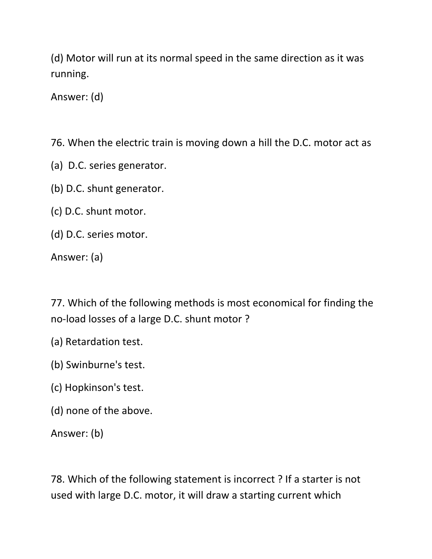(d) Motor will run at its normal speed in the same direction as it was running.

Answer: (d)

76. When the electric train is moving down a hill the D.C. motor act as

- (a) D.C. series generator.
- (b) D.C. shunt generator.
- (c) D.C. shunt motor.
- (d) D.C. series motor.

Answer: (a)

77. Which of the following methods is most economical for finding the no-load losses of a large D.C. shunt motor ?

- (a) Retardation test.
- (b) Swinburne's test.
- (c) Hopkinson's test.
- (d) none of the above.

Answer: (b)

78. Which of the following statement is incorrect ? If a starter is not used with large D.C. motor, it will draw a starting current which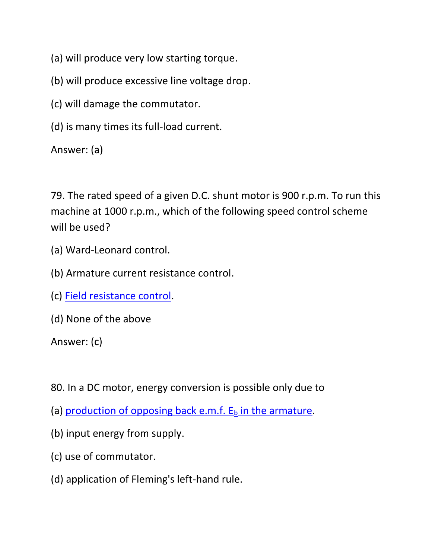- (a) will produce very low starting torque.
- (b) will produce excessive line voltage drop.
- (c) will damage the commutator.
- (d) is many times its full-load current.

Answer: (a)

79. The rated speed of a given D.C. shunt motor is 900 r.p.m. To run this machine at 1000 r.p.m., which of the following speed control scheme will be used?

- (a) Ward-Leonard control.
- (b) Armature current resistance control.
- (c) [Field resistance control.](https://www.yourelectricalguide.com/2017/09/speed-control-of-dc-shunt-motor.html)
- (d) None of the above

- 80. In a DC motor, energy conversion is possible only due to
- (a) production of opposing back e.m.f.  $E_b$  in the armature.
- (b) input energy from supply.
- (c) use of commutator.
- (d) application of Fleming's left-hand rule.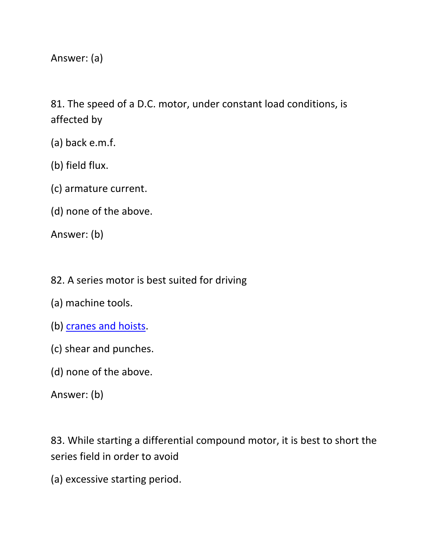Answer: (a)

81. The speed of a D.C. motor, under constant load conditions, is affected by

- (a) back e.m.f.
- (b) field flux.
- (c) armature current.
- (d) none of the above.

Answer: (b)

- 82. A series motor is best suited for driving
- (a) machine tools.
- (b) [cranes and hoists.](https://www.yourelectricalguide.com/2017/09/dc-motor-characteristics-and-applications.html)
- (c) shear and punches.
- (d) none of the above.

Answer: (b)

83. While starting a differential compound motor, it is best to short the series field in order to avoid

(a) excessive starting period.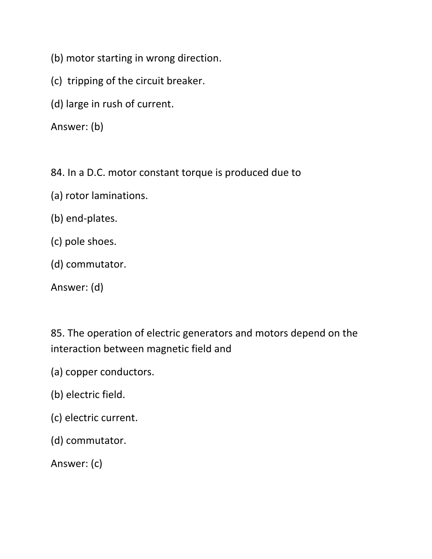- (b) motor starting in wrong direction.
- (c) tripping of the circuit breaker.
- (d) large in rush of current.

Answer: (b)

84. In a D.C. motor constant torque is produced due to

- (a) rotor laminations.
- (b) end-plates.
- (c) pole shoes.
- (d) commutator.

Answer: (d)

85. The operation of electric generators and motors depend on the interaction between magnetic field and

- (a) copper conductors.
- (b) electric field.
- (c) electric current.
- (d) commutator.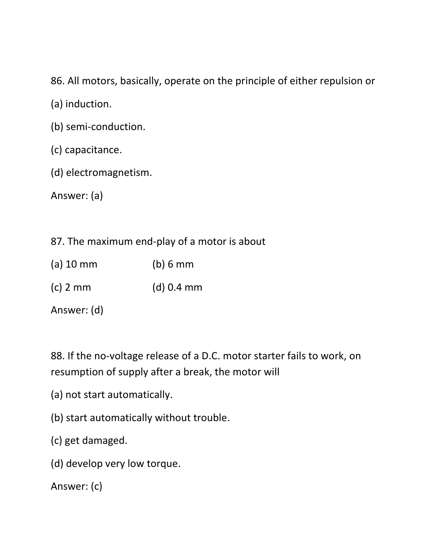86. All motors, basically, operate on the principle of either repulsion or

(a) induction.

- (b) semi-conduction.
- (c) capacitance.
- (d) electromagnetism.

Answer: (a)

## 87. The maximum end-play of a motor is about

- (a) 10 mm (b) 6 mm
- (c) 2 mm (d) 0.4 mm

Answer: (d)

88. If the no-voltage release of a D.C. motor starter fails to work, on resumption of supply after a break, the motor will

- (a) not start automatically.
- (b) start automatically without trouble.
- (c) get damaged.
- (d) develop very low torque.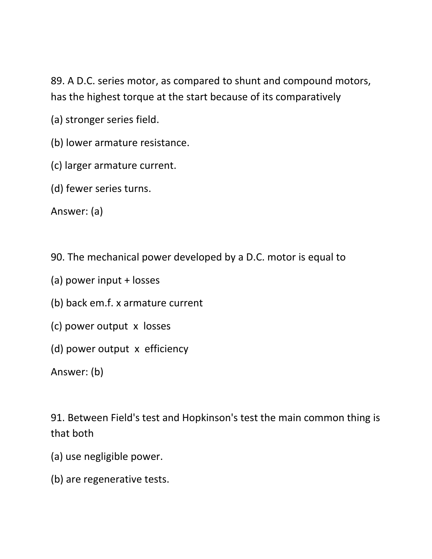89. A D.C. series motor, as compared to shunt and compound motors, has the highest torque at the start because of its comparatively

(a) stronger series field.

(b) lower armature resistance.

(c) larger armature current.

(d) fewer series turns.

Answer: (a)

90. The mechanical power developed by a D.C. motor is equal to

- (a) power input + losses
- (b) back em.f. x armature current
- (c) power output x losses
- (d) power output x efficiency

Answer: (b)

91. Between Field's test and Hopkinson's test the main common thing is that both

- (a) use negligible power.
- (b) are regenerative tests.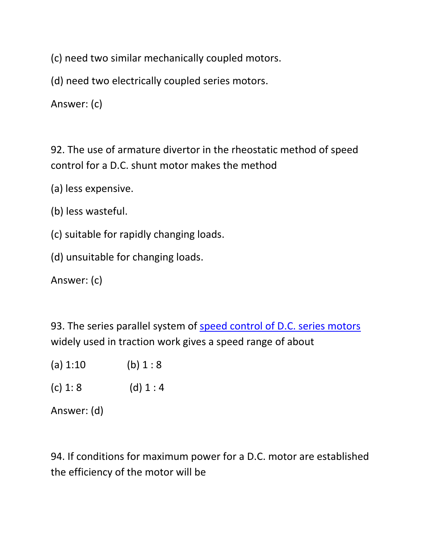(c) need two similar mechanically coupled motors.

(d) need two electrically coupled series motors.

Answer: (c)

92. The use of armature divertor in the rheostatic method of speed control for a D.C. shunt motor makes the method

(a) less expensive.

(b) less wasteful.

(c) suitable for rapidly changing loads.

(d) unsuitable for changing loads.

Answer: (c)

93. The series parallel system of speed control [of D.C. series motors](https://www.yourelectricalguide.com/2017/09/series-motor-speed-control.html) widely used in traction work gives a speed range of about

- (a)  $1:10$  (b)  $1:8$
- (c)  $1: 8$  (d)  $1: 4$

Answer: (d)

94. If conditions for maximum power for a D.C. motor are established the efficiency of the motor will be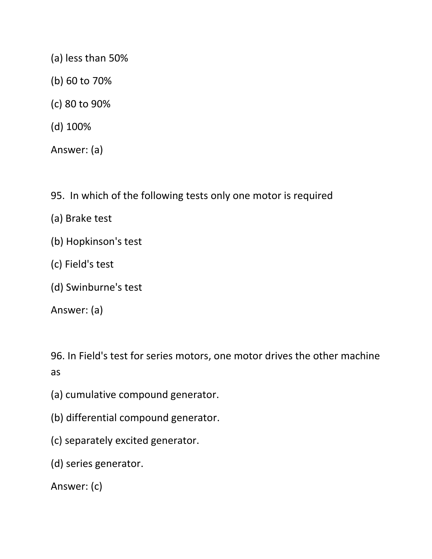- (a) less than 50%
- (b) 60 to 70%
- (c) 80 to 90%
- (d) 100%

Answer: (a)

- 95. In which of the following tests only one motor is required
- (a) Brake test
- (b) Hopkinson's test
- (c) Field's test
- (d) Swinburne's test

Answer: (a)

96. In Field's test for series motors, one motor drives the other machine as

- (a) cumulative compound generator.
- (b) differential compound generator.
- (c) separately excited generator.
- (d) series generator.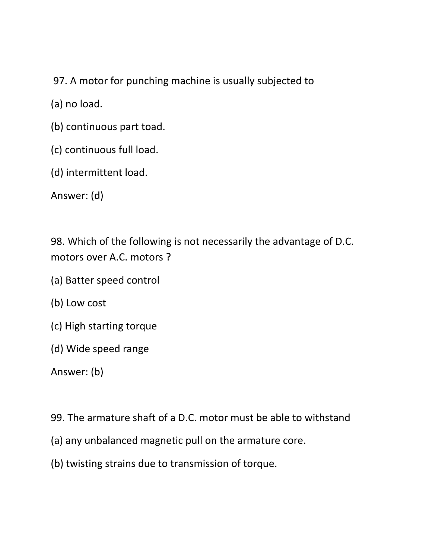97. A motor for punching machine is usually subjected to

(a) no load.

- (b) continuous part toad.
- (c) continuous full load.
- (d) intermittent load.

Answer: (d)

98. Which of the following is not necessarily the advantage of D.C. motors over A.C. motors ?

- (a) Batter speed control
- (b) Low cost
- (c) High starting torque
- (d) Wide speed range

- 99. The armature shaft of a D.C. motor must be able to withstand
- (a) any unbalanced magnetic pull on the armature core.
- (b) twisting strains due to transmission of torque.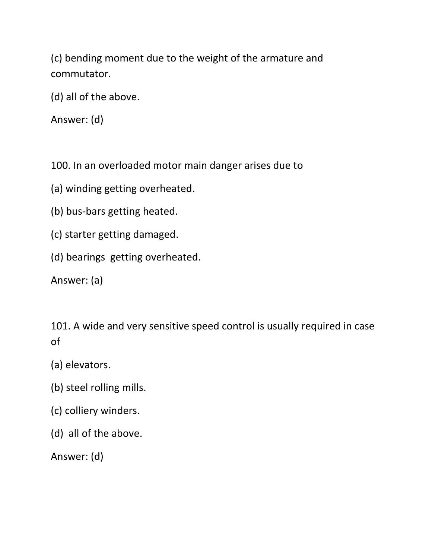(c) bending moment due to the weight of the armature and commutator.

(d) all of the above.

Answer: (d)

100. In an overloaded motor main danger arises due to

(a) winding getting overheated.

- (b) bus-bars getting heated.
- (c) starter getting damaged.
- (d) bearings getting overheated.

Answer: (a)

101. A wide and very sensitive speed control is usually required in case of

- (a) elevators.
- (b) steel rolling mills.
- (c) colliery winders.
- (d) all of the above.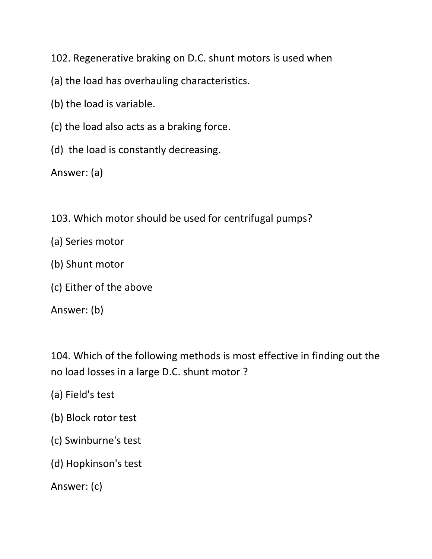102. Regenerative braking on D.C. shunt motors is used when

- (a) the load has overhauling characteristics.
- (b) the load is variable.
- (c) the load also acts as a braking force.
- (d) the load is constantly decreasing.

Answer: (a)

- 103. Which motor should be used for centrifugal pumps?
- (a) Series motor
- (b) Shunt motor
- (c) Either of the above

Answer: (b)

104. Which of the following methods is most effective in finding out the no load losses in a large D.C. shunt motor ?

- (a) Field's test
- (b) Block rotor test
- (c) Swinburne's test
- (d) Hopkinson's test

```
Answer: (c)
```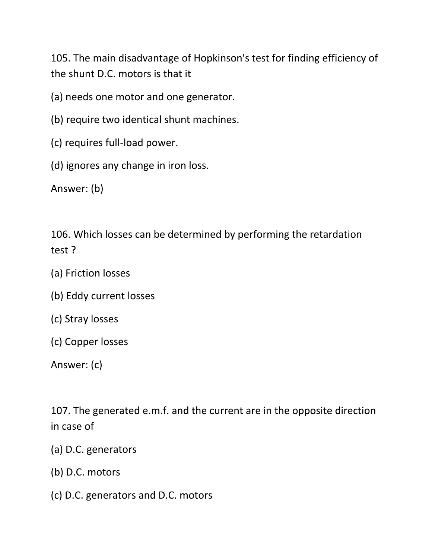105. The main disadvantage of Hopkinson's test for finding efficiency of the shunt D.C. motors is that it

(a) needs one motor and one generator.

- (b) require two identical shunt machines.
- (c) requires full-load power.
- (d) ignores any change in iron loss.

Answer: (b)

106. Which losses can be determined by performing the retardation test ?

- (a) Friction losses
- (b) Eddy current losses
- (c) Stray losses
- (c) Copper losses

Answer: (c)

107. The generated e.m.f. and the current are in the opposite direction in case of

- (a) D.C. generators
- (b) D.C. motors
- (c) D.C. generators and D.C. motors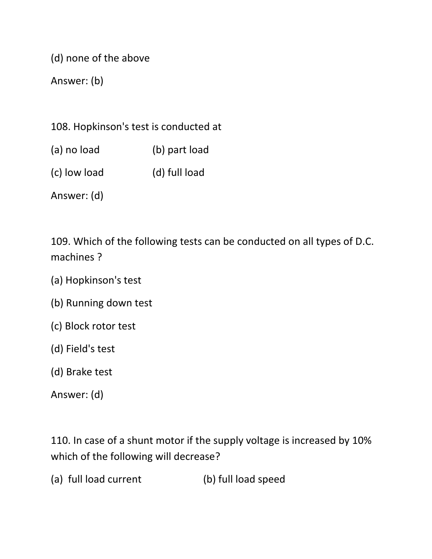(d) none of the above

Answer: (b)

108. Hopkinson's test is conducted at

- (a) no load (b) part load
- (c) low load (d) full load

Answer: (d)

109. Which of the following tests can be conducted on all types of D.C. machines ?

- (a) Hopkinson's test
- (b) Running down test
- (c) Block rotor test
- (d) Field's test
- (d) Brake test

Answer: (d)

110. In case of a shunt motor if the supply voltage is increased by 10% which of the following will decrease?

(a) full load current (b) full load speed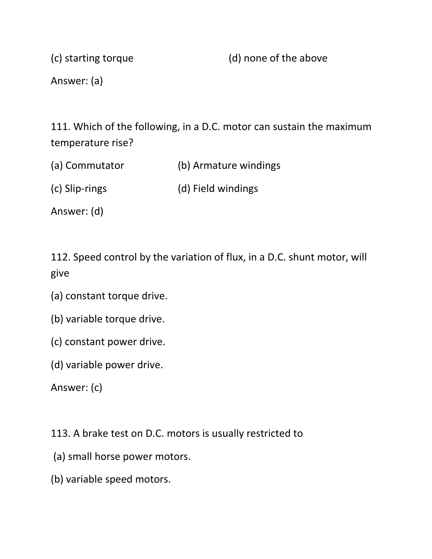(c) starting torque (d) none of the above

Answer: (a)

111. Which of the following, in a D.C. motor can sustain the maximum temperature rise?

(a) Commutator (b) Armature windings

(c) Slip-rings (d) Field windings

Answer: (d)

112. Speed control by the variation of flux, in a D.C. shunt motor, will give

- (a) constant torque drive.
- (b) variable torque drive.
- (c) constant power drive.
- (d) variable power drive.

Answer: (c)

113. A brake test on D.C. motors is usually restricted to

- (a) small horse power motors.
- (b) variable speed motors.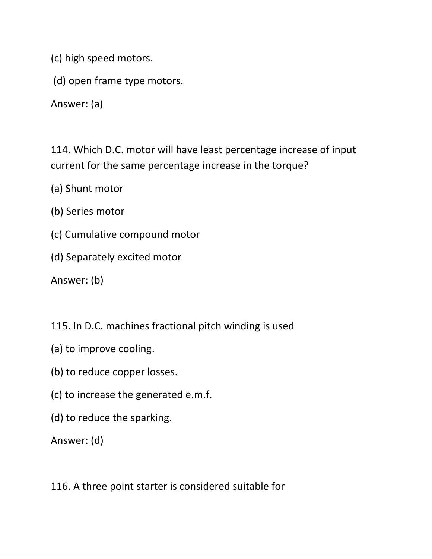(c) high speed motors.

(d) open frame type motors.

Answer: (a)

114. Which D.C. motor will have least percentage increase of input current for the same percentage increase in the torque?

(a) Shunt motor

- (b) Series motor
- (c) Cumulative compound motor
- (d) Separately excited motor

Answer: (b)

115. In D.C. machines fractional pitch winding is used

- (a) to improve cooling.
- (b) to reduce copper losses.
- (c) to increase the generated e.m.f.
- (d) to reduce the sparking.

Answer: (d)

116. A three point starter is considered suitable for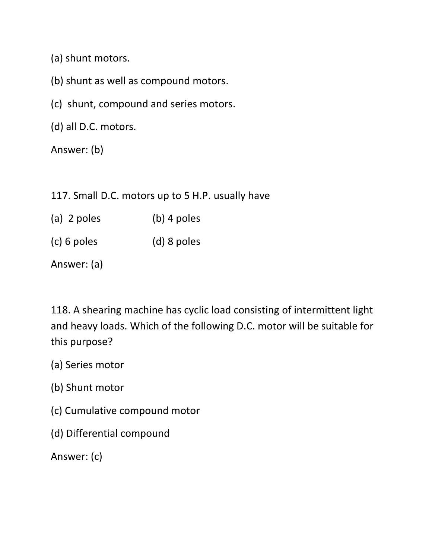(a) shunt motors.

(b) shunt as well as compound motors.

(c) shunt, compound and series motors.

(d) all D.C. motors.

Answer: (b)

117. Small D.C. motors up to 5 H.P. usually have

- (a) 2 poles (b) 4 poles
- (c) 6 poles (d) 8 poles

Answer: (a)

118. A shearing machine has cyclic load consisting of intermittent light and heavy loads. Which of the following D.C. motor will be suitable for this purpose?

(a) Series motor

(b) Shunt motor

- (c) Cumulative compound motor
- (d) Differential compound